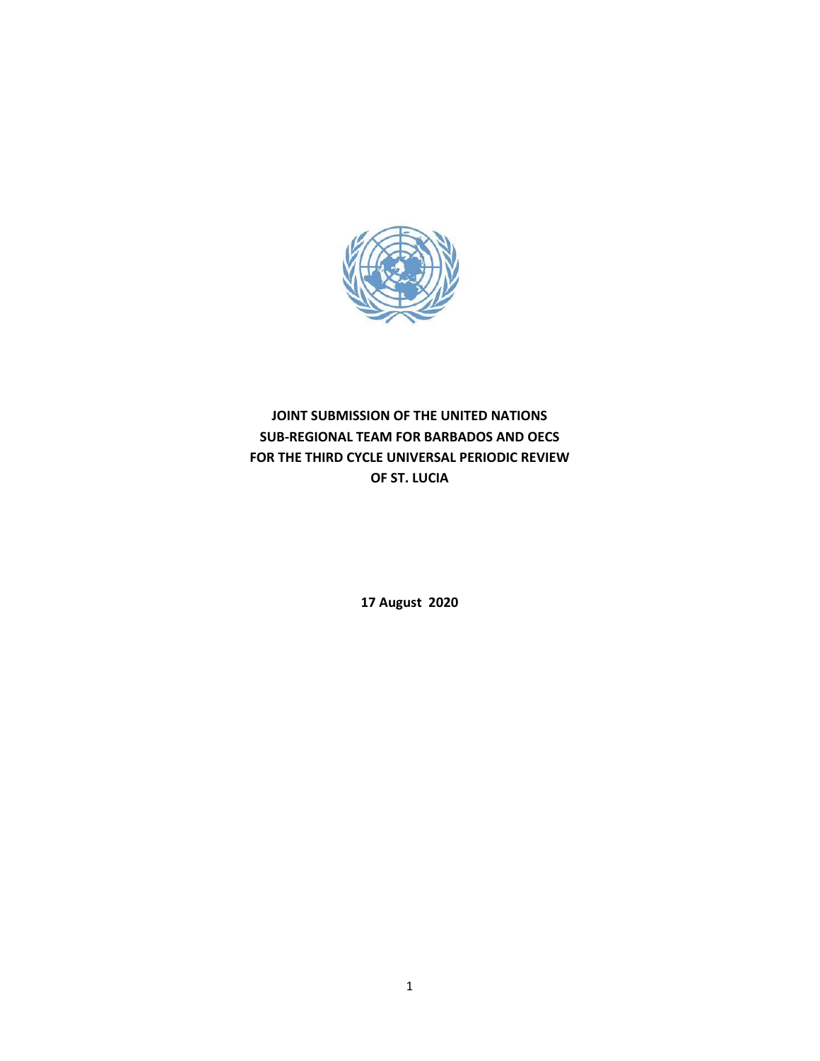

# **JOINT SUBMISSION OF THE UNITED NATIONS SUB-REGIONAL TEAM FOR BARBADOS AND OECS FOR THE THIRD CYCLE UNIVERSAL PERIODIC REVIEW OF ST. LUCIA**

**17 August 2020**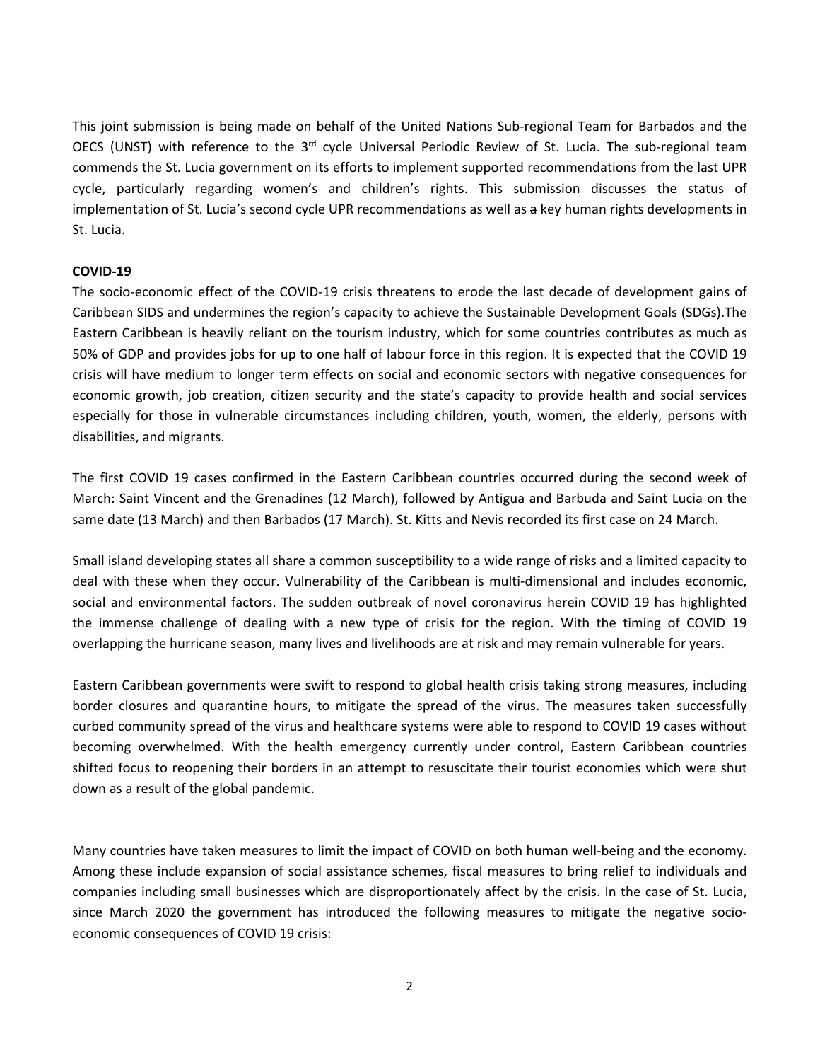This joint submission is being made on behalf of the United Nations Sub-regional Team for Barbados and the OECS (UNST) with reference to the 3<sup>rd</sup> cycle Universal Periodic Review of St. Lucia. The sub-regional team commends the St. Lucia government on its efforts to implement supported recommendations from the last UPR cycle, particularly regarding women'<sup>s</sup> and children'<sup>s</sup> rights. This submission discusses the status of implementation of St. Lucia'<sup>s</sup> second cycle UPR recommendations as well as <sup>a</sup> key human rights developments in St. Lucia.

#### **COVID-19**

The socio-economic effect of the COVID-19 crisis threatens to erode the last decade of development gains of Caribbean SIDS and undermines the region'<sup>s</sup> capacity to achieve the Sustainable Development Goals (SDGs).The Eastern Caribbean is heavily reliant on the tourism industry, which for some countries contributes as much as 50% of GDP and provides jobs for up to one half of labour force in this region. It is expected that the COVID 19 crisis will have medium to longer term effects on social and economic sectors with negative consequences for economic growth, job creation, citizen security and the state'<sup>s</sup> capacity to provide health and social services especially for those in vulnerable circumstances including children, youth, women, the elderly, persons with disabilities, and migrants.

The first COVID 19 cases confirmed in the Eastern Caribbean countries occurred during the second week of March: Saint Vincent and the Grenadines (12 March), followed by Antigua and Barbuda and Saint Lucia on the same date (13 March) and then Barbados (17 March). St. Kitts and Nevis recorded its first case on 24 March.

Small island developing states all share <sup>a</sup> common susceptibility to <sup>a</sup> wide range of risks and <sup>a</sup> limited capacity to deal with these when they occur. Vulnerability of the Caribbean is multi-dimensional and includes economic, social and environmental factors. The sudden outbreak of novel coronavirus herein COVID 19 has highlighted the immense challenge of dealing with <sup>a</sup> new type of crisis for the region. With the timing of COVID 19 overlapping the hurricane season, many lives and livelihoods are at risk and may remain vulnerable for years.

Eastern Caribbean governments were swift to respond to global health crisis taking strong measures, including border closures and quarantine hours, to mitigate the spread of the virus. The measures taken successfully curbed community spread of the virus and healthcare systems were able to respond to COVID 19 cases without becoming overwhelmed. With the health emergency currently under control, Eastern Caribbean countries shifted focus to reopening their borders in an attempt to resuscitate their tourist economies which were shut down as <sup>a</sup> result of the global pandemic.

Many countries have taken measures to limit the impact of COVID on both human well-being and the economy. Among these include expansion of social assistance schemes, fiscal measures to bring relief to individuals and companies including small businesses which are disproportionately affect by the crisis. In the case of St. Lucia, since March 2020 the government has introduced the following measures to mitigate the negative socioeconomic consequences of COVID 19 crisis: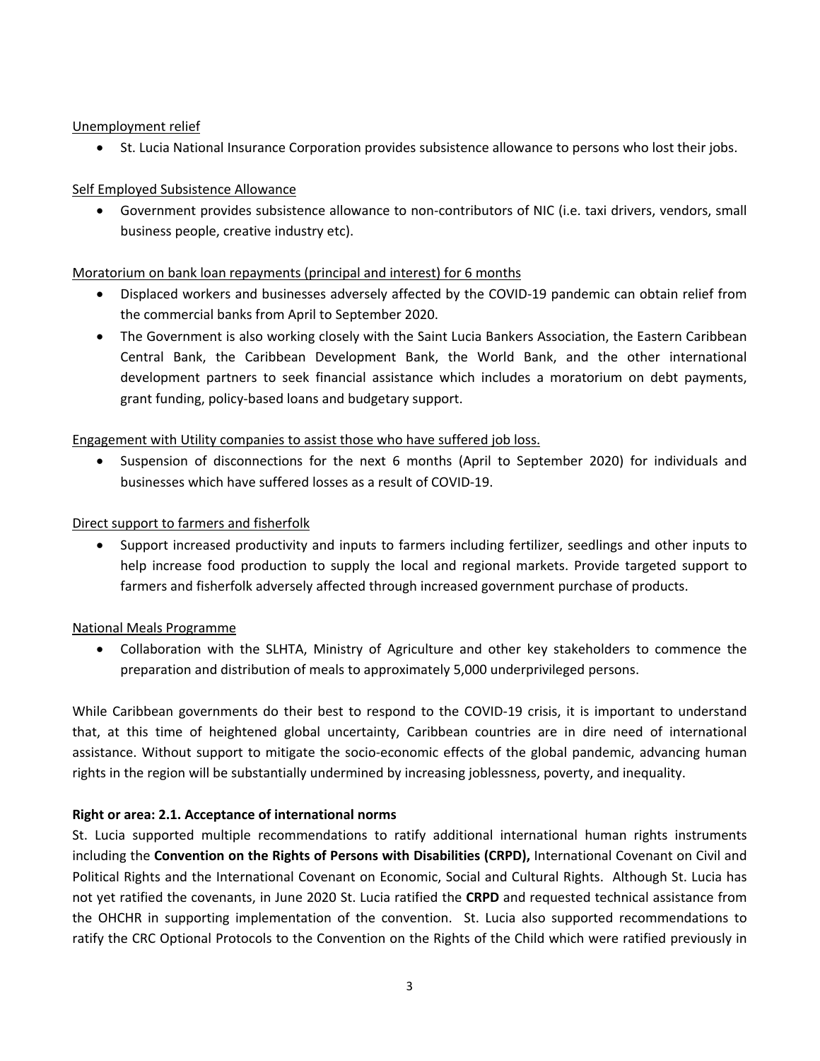### Unemployment relief

 $\bullet$ St. Lucia National Insurance Corporation provides subsistence allowance to persons who lost their jobs.

## Self Employed Subsistence Allowance

 Government provides subsistence allowance to non-contributors of NIC (i.e. taxi drivers, vendors, small business people, creative industry etc).

# Moratorium on bank loan repayments (principal and interest) for 6 months

- Displaced workers and businesses adversely affected by the COVID-19 pandemic can obtain relief from the commercial banks from April to September 2020.
- The Government is also working closely with the Saint Lucia Bankers Association, the Eastern Caribbean Central Bank, the Caribbean Development Bank, the World Bank, and the other international development partners to seek financial assistance which includes <sup>a</sup> moratorium on debt payments, grant funding, policy-based loans and budgetary support.

# Engagement with Utility companies to assist those who have suffered job loss.

 $\bullet$  Suspension of disconnections for the next 6 months (April to September 2020) for individuals and businesses which have suffered losses as <sup>a</sup> result of COVID-19.

## Direct support to farmers and fisherfolk

 Support increased productivity and inputs to farmers including fertilizer, seedlings and other inputs to help increase food production to supply the local and regional markets. Provide targeted support to farmers and fisherfolk adversely affected through increased government purchase of products.

## National Meals Programme

 Collaboration with the SLHTA, Ministry of Agriculture and other key stakeholders to commence the preparation and distribution of meals to approximately 5,000 underprivileged persons.

While Caribbean governments do their best to respond to the COVID-19 crisis, it is important to understand that, at this time of heightened global uncertainty, Caribbean countries are in dire need of international assistance. Without support to mitigate the socio-economic effects of the global pandemic, advancing human rights in the region will be substantially undermined by increasing joblessness, poverty, and inequality.

# **Right or area: 2.1. Acceptance of international norms**

St. Lucia supported multiple recommendations to ratify additional international human rights instruments including the **Convention on the Rights of Persons with Disabilities (CRPD),** International Covenant on Civil and Political Rights and the International Covenant on Economic, Social and Cultural Rights. Although St. Lucia has not yet ratified the covenants, in June 2020 St. Lucia ratified the **CRPD** and requested technical assistance from the OHCHR in supporting implementation of the convention. St. Lucia also supported recommendations to ratify the CRC Optional Protocols to the Convention on the Rights of the Child which were ratified previously in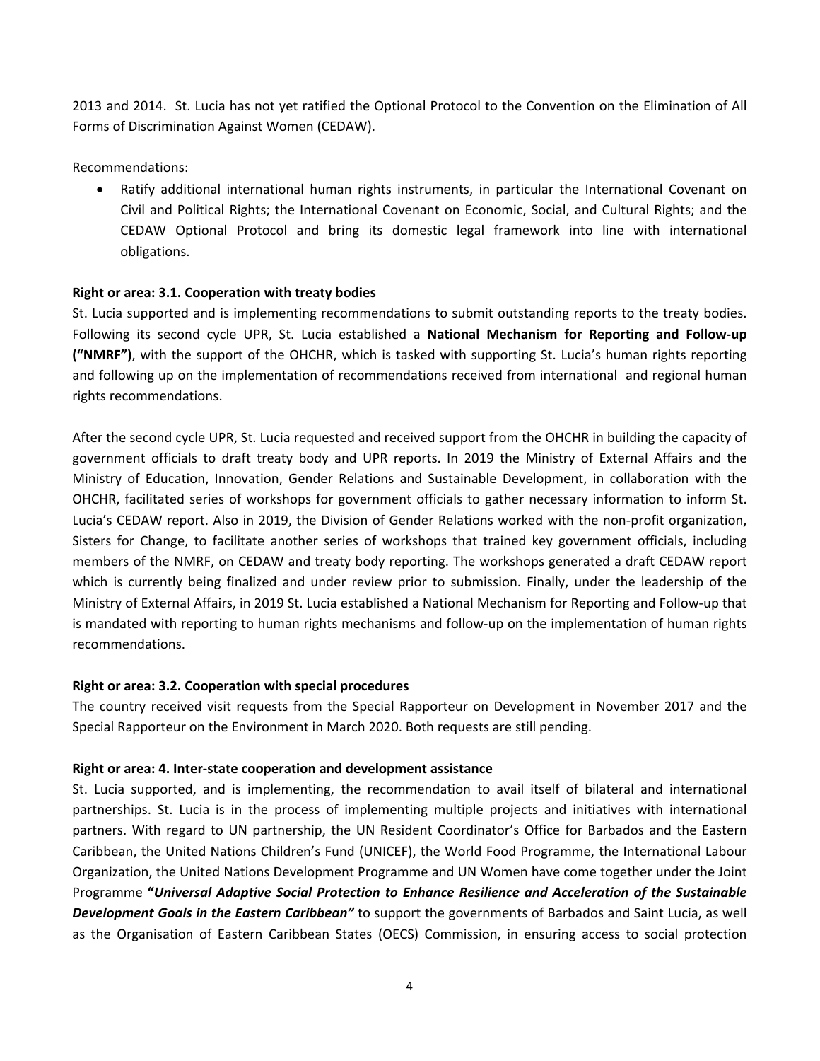2013 and 2014. St. Lucia has not yet ratified the Optional Protocol to the Convention on the Elimination of All Forms of Discrimination Against Women (CEDAW).

Recommendations:

 Ratify additional international human rights instruments, in particular the International Covenant on Civil and Political Rights; the International Covenant on Economic, Social, and Cultural Rights; and the CEDAW Optional Protocol and bring its domestic legal framework into line with international obligations.

### **Right or area: 3.1. Cooperation with treaty bodies**

St. Lucia supported and is implementing recommendations to submit outstanding reports to the treaty bodies. Following its second cycle UPR, St. Lucia established <sup>a</sup> **National Mechanism for Reporting and Follow-up ("NMRF")**, with the support of the OHCHR, which is tasked with supporting St. Lucia'<sup>s</sup> human rights reporting and following up on the implementation of recommendations received from international and regional human rights recommendations.

After the second cycle UPR, St. Lucia requested and received support from the OHCHR in building the capacity of government officials to draft treaty body and UPR reports. In 2019 the Ministry of External Affairs and the Ministry of Education, Innovation, Gender Relations and Sustainable Development, in collaboration with the OHCHR, facilitated series of workshops for government officials to gather necessary information to inform St. Lucia'<sup>s</sup> CEDAW report. Also in 2019, the Division of Gender Relations worked with the non-profit organization, Sisters for Change, to facilitate another series of workshops that trained key government officials, including members of the NMRF, on CEDAW and treaty body reporting. The workshops generated <sup>a</sup> draft CEDAW report which is currently being finalized and under review prior to submission. Finally, under the leadership of the Ministry of External Affairs, in 2019 St. Lucia established <sup>a</sup> National Mechanism for Reporting and Follow-up that is mandated with reporting to human rights mechanisms and follow-up on the implementation of human rights recommendations.

## **Right or area: 3.2. Cooperation with special procedures**

The country received visit requests from the Special Rapporteur on Development in November 2017 and the Special Rapporteur on the Environment in March 2020. Both requests are still pending.

## **Right or area: 4. Inter-state cooperation and development assistance**

St. Lucia supported, and is implementing, the recommendation to avail itself of bilateral and international partnerships. St. Lucia is in the process of implementing multiple projects and initiatives with international partners. With regard to UN partnership, the UN Resident Coordinator'<sup>s</sup> Office for Barbados and the Eastern Caribbean, the United Nations Children'<sup>s</sup> Fund (UNICEF), the World Food Programme, the International Labour Organization, the United Nations Development Programme and UN Women have come together under the Joint Programme **"***Universal Adaptive Social Protection to Enhance Resilience and Acceleration of the Sustainable Development Goals in the Eastern Caribbean"* to support the governments of Barbados and Saint Lucia, as well as the Organisation of Eastern Caribbean States (OECS) Commission, in ensuring access to social protection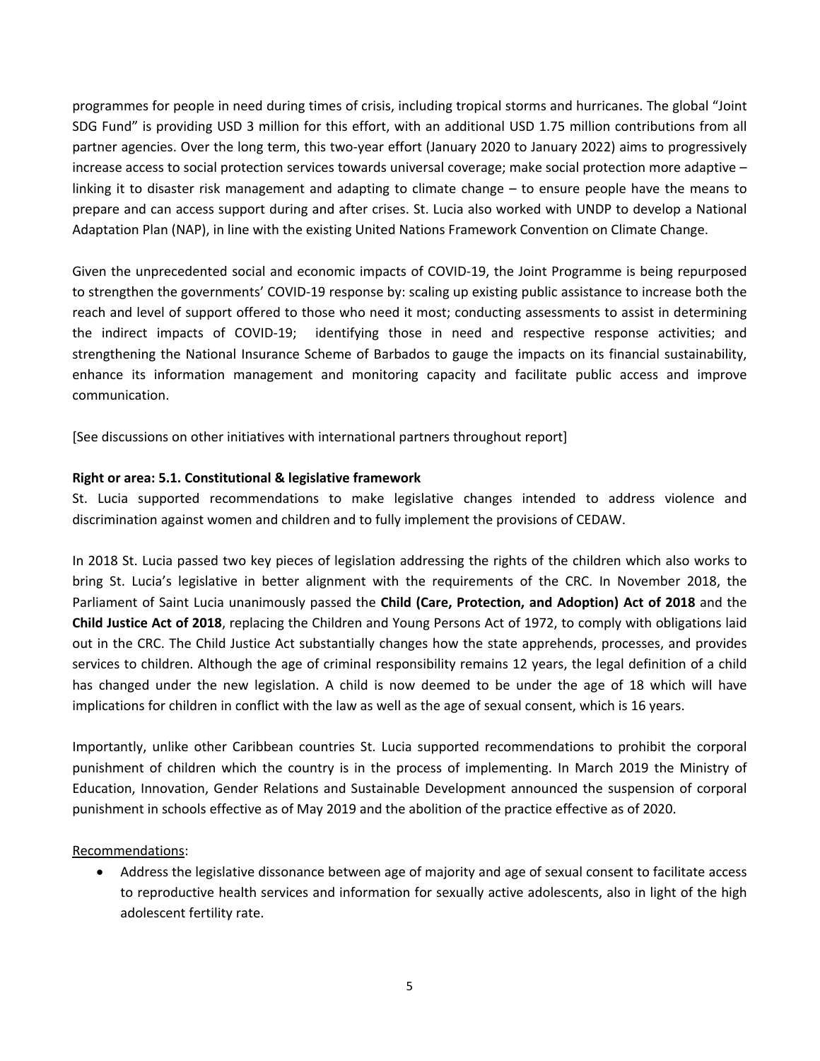programmes for people in need during times of crisis, including tropical storms and hurricanes. The global "Joint SDG Fund" is providing USD 3 million for this effort, with an additional USD 1.75 million contributions from all partner agencies. Over the long term, this two-year effort (January 2020 to January 2022) aims to progressively increase access to social protection services towards universal coverage; make social protection more adaptive – linking it to disaster risk management and adapting to climate change – to ensure people have the means to prepare and can access support during and after crises. St. Lucia also worked with UNDP to develop <sup>a</sup> National Adaptation Plan (NAP), in line with the existing United Nations Framework Convention on Climate Change.

Given the unprecedented social and economic impacts of COVID-19, the Joint Programme is being repurposed to strengthen the governments' COVID-19 response by: scaling up existing public assistance to increase both the reach and level of support offered to those who need it most; conducting assessments to assist in determining the indirect impacts of COVID-19; identifying those in need and respective response activities; and strengthening the National Insurance Scheme of Barbados to gauge the impacts on its financial sustainability, enhance its information management and monitoring capacity and facilitate public access and improve communication.

[See discussions on other initiatives with international partners throughout report]

### **Right or area: 5.1. Constitutional &legislative framework**

St. Lucia supported recommendations to make legislative changes intended to address violence and discrimination against women and children and to fully implement the provisions of CEDAW.

In 2018 St. Lucia passed two key pieces of legislation addressing the rights of the children which also works to bring St. Lucia'<sup>s</sup> legislative in better alignment with the requirements of the CRC. In November 2018, the Parliament of Saint Lucia unanimously passed the **Child (Care, Protection, and Adoption) Act of 2018** and the **Child Justice Act of 2018**, replacing the Children and Young Persons Act of 1972, to comply with obligations laid out in the CRC. The Child Justice Act substantially changes how the state apprehends, processes, and provides services to children. Although the age of criminal responsibility remains 12 years, the legal definition of <sup>a</sup> child has changed under the new legislation. A child is now deemed to be under the age of 18 which will have implications for children in conflict with the law as well as the age of sexual consent, which is 16 years.

Importantly, unlike other Caribbean countries St. Lucia supported recommendations to prohibit the corporal punishment of children which the country is in the process of implementing. In March 2019 the Ministry of Education, Innovation, Gender Relations and Sustainable Development announced the suspension of corporal punishment in schools effective as of May 2019 and the abolition of the practice effective as of 2020.

### Recommendations:

 $\bullet$  Address the legislative dissonance between age of majority and age of sexual consent to facilitate access to reproductive health services and information for sexually active adolescents, also in light of the high adolescent fertility rate.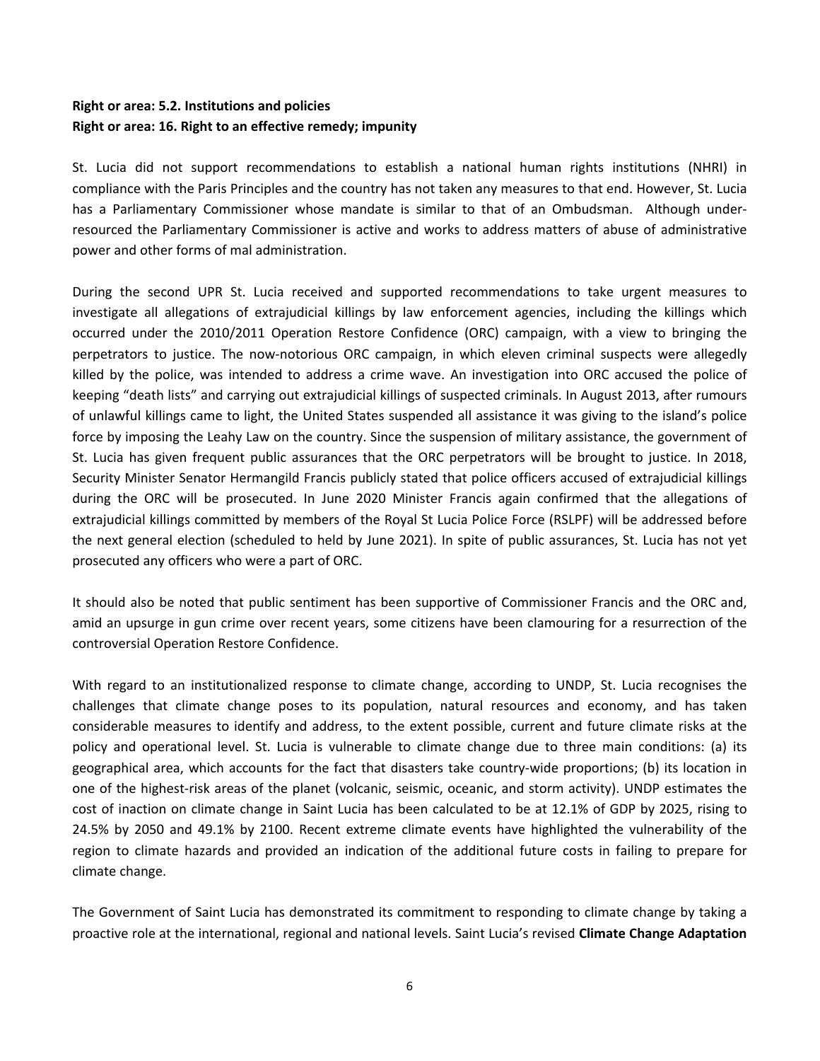# **Right or area: 5.2. Institutions and policies Right or area: 16. Right to an effective remedy; impunity**

St. Lucia did not support recommendations to establish <sup>a</sup> national human rights institutions (NHRI) in compliance with the Paris Principles and the country has not taken any measures to that end. However, St. Lucia has a Parliamentary Commissioner whose mandate is similar to that of an Ombudsman. Although underresourced the Parliamentary Commissioner is active and works to address matters of abuse of administrative power and other forms of mal administration.

During the second UPR St. Lucia received and supported recommendations to take urgent measures to investigate all allegations of extrajudicial killings by law enforcement agencies, including the killings which occurred under the 2010/2011 Operation Restore Confidence (ORC) campaign, with <sup>a</sup> view to bringing the perpetrators to justice. The now-notorious ORC campaign, in which eleven criminal suspects were allegedly killed by the police, was intended to address <sup>a</sup> crime wave. An investigation into ORC accused the police of keeping "death lists" and carrying out extrajudicial killings of suspected criminals. In August 2013, after rumours of unlawful killings came to light, the United States suspended all assistance it was giving to the island'<sup>s</sup> police force by imposing the Leahy Law on the country. Since the suspension of military assistance, the government of St. Lucia has given frequent public assurances that the ORC perpetrators will be brought to justice. In 2018, Security Minister Senator Hermangild Francis publicly stated that police officers accused of extrajudicial killings during the ORC will be prosecuted. In June 2020 Minister Francis again confirmed that the allegations of extrajudicial killings committed by members of the Royal St Lucia Police Force (RSLPF) will be addressed before the next general election (scheduled to held by June 2021). In spite of public assurances, St. Lucia has not yet prosecuted any officers who were <sup>a</sup> part of ORC.

It should also be noted that public sentiment has been supportive of Commissioner Francis and the ORC and, amid an upsurge in gun crime over recent years, some citizens have been clamouring for <sup>a</sup> resurrection of the controversial Operation Restore Confidence.

With regard to an institutionalized response to climate change, according to UNDP, St. Lucia recognises the challenges that climate change poses to its population, natural resources and economy, and has taken considerable measures to identify and address, to the extent possible, current and future climate risks at the policy and operational level. St. Lucia is vulnerable to climate change due to three main conditions: (a) its geographical area, which accounts for the fact that disasters take country‐wide proportions; (b) its location in one of the highest-risk areas of the planet (volcanic, seismic, oceanic, and storm activity). UNDP estimates the cost of inaction on climate change in Saint Lucia has been calculated to be at 12.1% of GDP by 2025, rising to 24.5% by 2050 and 49.1% by 2100. Recent extreme climate events have highlighted the vulnerability of the region to climate hazards and provided an indication of the additional future costs in failing to prepare for climate change.

The Government of Saint Lucia has demonstrated its commitment to responding to climate change by taking <sup>a</sup> proactive role at the international, regional and national levels. Saint Lucia'<sup>s</sup> revised **Climate Change Adaptation**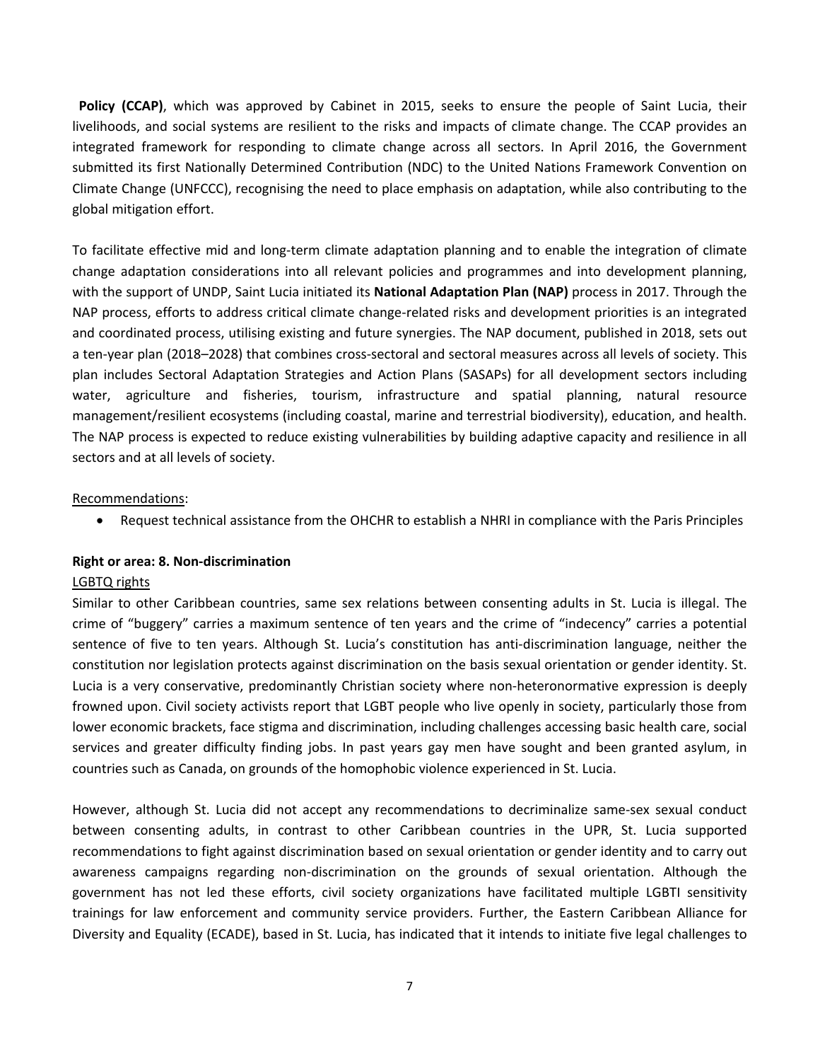**Policy (CCAP)**, which was approved by Cabinet in 2015, seeks to ensure the people of Saint Lucia, their livelihoods, and social systems are resilient to the risks and impacts of climate change. The CCAP provides an integrated framework for responding to climate change across all sectors. In April 2016, the Government submitted its first Nationally Determined Contribution (NDC) to the United Nations Framework Convention on Climate Change (UNFCCC), recognising the need to place emphasis on adaptation, while also contributing to the global mitigation effort.

To facilitate effective mid and long-term climate adaptation planning and to enable the integration of climate change adaptation considerations into all relevant policies and programmes and into development planning, with the support of UNDP, Saint Lucia initiated its **National Adaptation Plan (NAP)** process in 2017. Through the NAP process, efforts to address critical climate change-related risks and development priorities is an integrated and coordinated process, utilising existing and future synergies. The NAP document, published in 2018, sets out <sup>a</sup> ten-year plan (2018–2028) that combines cross-sectoral and sectoral measures across all levels of society. This plan includes Sectoral Adaptation Strategies and Action Plans (SASAPs) for all development sectors including water, agriculture and fisheries, tourism, infrastructure and spatial planning, natural resource management/resilient ecosystems (including coastal, marine and terrestrial biodiversity), education, and health. The NAP process is expected to reduce existing vulnerabilities by building adaptive capacity and resilience in all sectors and at all levels of society.

#### Recommendations:

 $\bullet$ Request technical assistance from the OHCHR to establish <sup>a</sup> NHRI in compliance with the Paris Principles

#### **Right or area: 8. Non-discrimination**

#### LGBTQ rights

Similar to other Caribbean countries, same sex relations between consenting adults in St. Lucia is illegal. The crime of "buggery" carries <sup>a</sup> maximum sentence of ten years and the crime of "indecency" carries <sup>a</sup> potential sentence of five to ten years. Although St. Lucia'<sup>s</sup> constitution has anti-discrimination language, neither the constitution nor legislation protects against discrimination on the basis sexual orientation or gender identity. St. Lucia is <sup>a</sup> very conservative, predominantly Christian society where non-heteronormative expression is deeply frowned upon. Civil society activists report that LGBT people who live openly in society, particularly those from lower economic brackets, face stigma and discrimination, including challenges accessing basic health care, social services and greater difficulty finding jobs. In past years gay men have sought and been granted asylum, in countries such as Canada, on grounds of the homophobic violence experienced in St. Lucia.

However, although St. Lucia did not accept any recommendations to decriminalize same-sex sexual conduct between consenting adults, in contrast to other Caribbean countries in the UPR, St. Lucia supported recommendations to fight against discrimination based on sexual orientation or gender identity and to carry out awareness campaigns regarding non-discrimination on the grounds of sexual orientation. Although the government has not led these efforts, civil society organizations have facilitated multiple LGBTI sensitivity trainings for law enforcement and community service providers. Further, the Eastern Caribbean Alliance for Diversity and Equality (ECADE), based in St. Lucia, has indicated that it intends to initiate five legal challenges to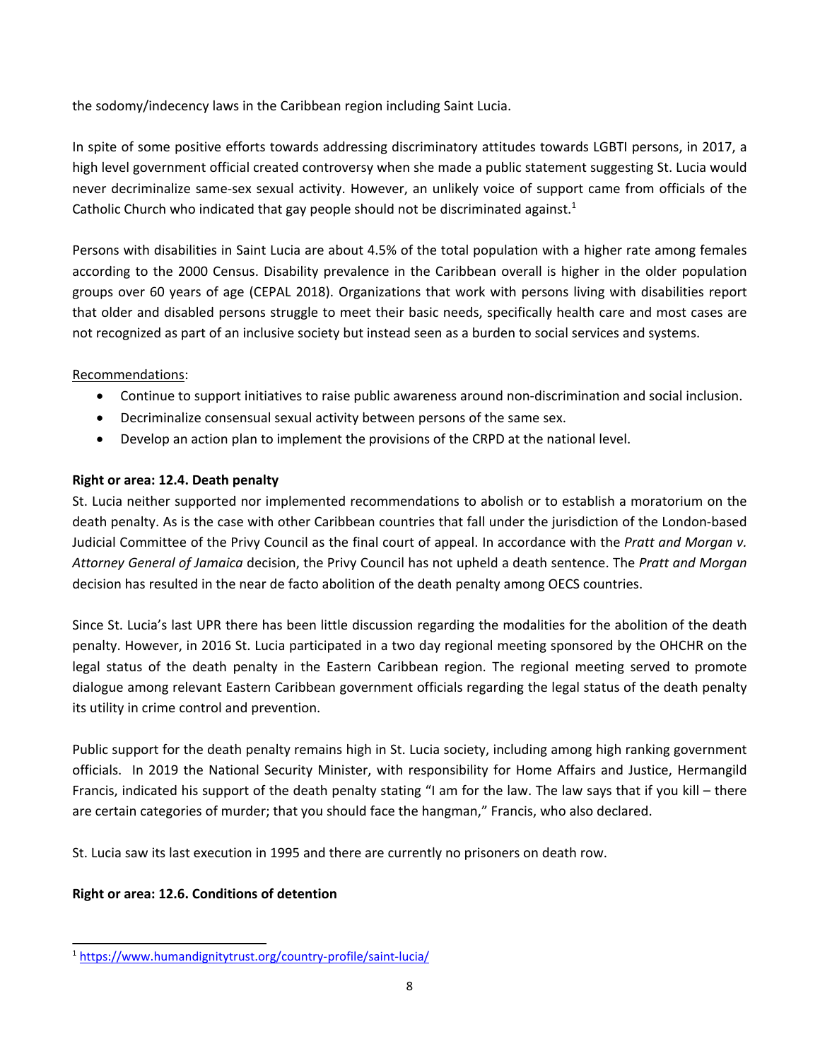the sodomy/indecency laws in the Caribbean region including Saint Lucia.

In spite of some positive efforts towards addressing discriminatory attitudes towards LGBTI persons, in 2017, <sup>a</sup> high level government official created controversy when she made <sup>a</sup> public statement suggesting St. Lucia would never decriminalize same-sex sexual activity. However, an unlikely voice of support came from officials of the Catholic Church who indicated that gay people should not be discriminated against.<sup>1</sup>

Persons with disabilities in Saint Lucia are about 4.5% of the total population with <sup>a</sup> higher rate among females according to the 2000 Census. Disability prevalence in the Caribbean overall is higher in the older population groups over 60 years of age (CEPAL 2018). Organizations that work with persons living with disabilities report that older and disabled persons struggle to meet their basic needs, specifically health care and most cases are not recognized as part of an inclusive society but instead seen as <sup>a</sup> burden to social services and systems.

## Recommendations:

- Continue to support initiatives to raise public awareness around non-discrimination and social inclusion.
- Decriminalize consensual sexual activity between persons of the same sex.
- Develop an action plan to implement the provisions of the CRPD at the national level.

# **Right or area: 12.4. Death penalty**

St. Lucia neither supported nor implemented recommendations to abolish or to establish <sup>a</sup> moratorium on the death penalty. As is the case with other Caribbean countries that fall under the jurisdiction of the London-based Judicial Committee of the Privy Council as the final court of appeal. In accordance with the *Pratt and Morgan v. Attorney General of Jamaica* decision, the Privy Council has not upheld <sup>a</sup> death sentence. The *Pratt and Morgan* decision has resulted in the near de facto abolition of the death penalty among OECS countries.

Since St. Lucia'<sup>s</sup> last UPR there has been little discussion regarding the modalities for the abolition of the death penalty. However, in 2016 St. Lucia participated in <sup>a</sup> two day regional meeting sponsored by the OHCHR on the legal status of the death penalty in the Eastern Caribbean region. The regional meeting served to promote dialogue among relevant Eastern Caribbean government officials regarding the legal status of the death penalty its utility in crime control and prevention.

Public support for the death penalty remains high in St. Lucia society, including among high ranking government officials. In 2019 the National Security Minister, with responsibility for Home Affairs and Justice, Hermangild Francis, indicated his support of the death penalty stating "I am for the law. The law says that if you kill – there are certain categories of murder; that you should face the hangman," Francis, who also declared.

St. Lucia saw its last execution in 1995 and there are currently no prisoners on death row.

# **Right or area: 12.6. Conditions of detention**

<sup>1</sup> <https://www.humandignitytrust.org/country-profile/saint-lucia/>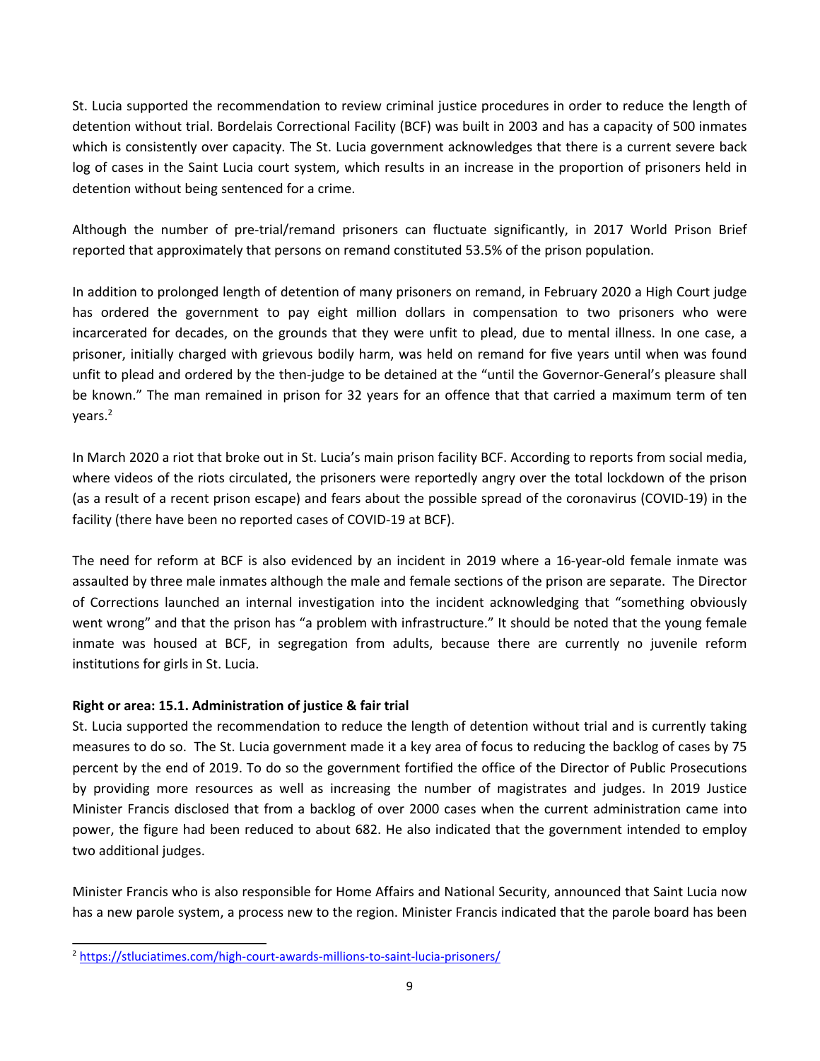St. Lucia supported the recommendation to review criminal justice procedures in order to reduce the length of detention without trial. Bordelais Correctional Facility (BCF) was built in 2003 and has <sup>a</sup> capacity of 500 inmates which is consistently over capacity. The St. Lucia government acknowledges that there is <sup>a</sup> current severe back log of cases in the Saint Lucia court system, which results in an increase in the proportion of prisoners held in detention without being sentenced for <sup>a</sup> crime.

Although the number of pre-trial/remand prisoners can fluctuate significantly, in 2017 World Prison Brief reported that approximately that persons on remand constituted 53.5% of the prison population.

In addition to prolonged length of detention of many prisoners on remand, in February 2020 <sup>a</sup> High Court judge has ordered the government to pay eight million dollars in compensation to two prisoners who were incarcerated for decades, on the grounds that they were unfit to plead, due to mental illness. In one case, <sup>a</sup> prisoner, initially charged with grievous bodily harm, was held on remand for five years until when was found unfit to plead and ordered by the then-judge to be detained at the "until the Governor-General'<sup>s</sup> pleasure shall be known." The man remained in prison for 32 years for an offence that that carried <sup>a</sup> maximum term of ten years. 2

In March 2020 <sup>a</sup> riot that broke out in St. Lucia'<sup>s</sup> main prison facility BCF. According to reports from social media, where videos of the riots circulated, the prisoners were reportedly angry over the total lockdown of the prison (as <sup>a</sup> result of <sup>a</sup> recent prison escape) and fears about the possible spread of the coronavirus (COVID-19) in the facility (there have been no reported cases of COVID-19 at BCF).

The need for reform at BCF is also evidenced by an incident in 2019 where <sup>a</sup> 16-year-old female inmate was assaulted by three male inmates although the male and female sections of the prison are separate. The Director of Corrections launched an internal investigation into the incident acknowledging that "something obviously went wrong" and that the prison has "<sup>a</sup> problem with infrastructure." It should be noted that the young female inmate was housed at BCF, in segregation from adults, because there are currently no juvenile reform institutions for girls in St. Lucia.

## **Right or area: 15.1. Administration of justice & fair trial**

St. Lucia supported the recommendation to reduce the length of detention without trial and is currently taking measures to do so. The St. Lucia government made it <sup>a</sup> key area of focus to reducing the backlog of cases by 75 percent by the end of 2019. To do so the government fortified the office of the Director of Public Prosecutions by providing more resources as well as increasing the number of magistrates and judges. In 2019 Justice Minister Francis disclosed that from <sup>a</sup> backlog of over 2000 cases when the current administration came into power, the figure had been reduced to about 682. He also indicated that the government intended to employ two additional judges.

Minister Francis who is also responsible for Home Affairs and National Security, announced that Saint Lucia now has <sup>a</sup> new parole system, <sup>a</sup> process new to the region. Minister Francis indicated that the parole board has been

<sup>&</sup>lt;sup>2</sup> <https://stluciatimes.com/high-court-awards-millions-to-saint-lucia-prisoners/>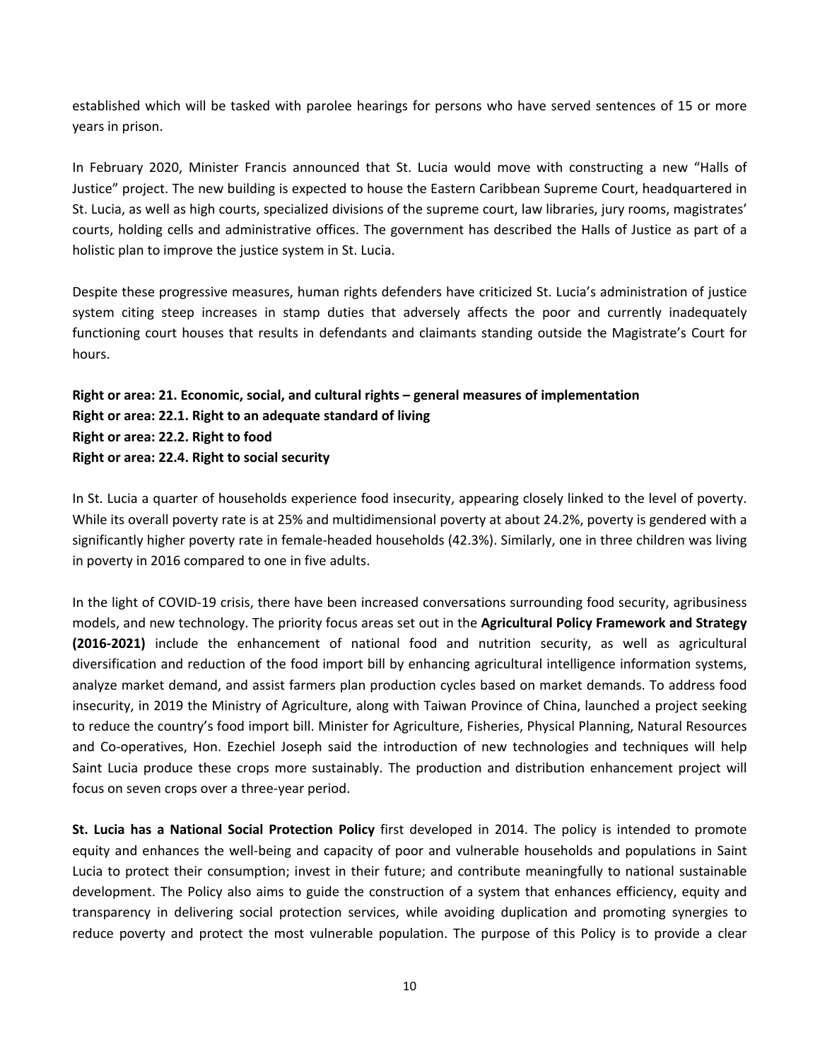established which will be tasked with parolee hearings for persons who have served sentences of 15 or more years in prison.

In February 2020, Minister Francis announced that St. Lucia would move with constructing <sup>a</sup> new "Halls of Justice" project. The new building is expected to house the Eastern Caribbean Supreme Court, headquartered in St. Lucia, as well as high courts, specialized divisions of the supreme court, law libraries, jury rooms, magistrates' courts, holding cells and administrative offices. The government has described the Halls of Justice as part of <sup>a</sup> holistic plan to improve the justice system in St. Lucia.

Despite these progressive measures, human rights defenders have criticized St. Lucia'<sup>s</sup> administration of justice system citing steep increases in stamp duties that adversely affects the poor and currently inadequately functioning court houses that results in defendants and claimants standing outside the Magistrate'<sup>s</sup> Court for hours.

# **Right or area: 21. Economic, social, and cultural rights – general measures of implementation Right or area: 22.1. Right to an adequate standard of living Right or area: 22.2. Right to food Right or area: 22.4. Right to social security**

In St. Lucia <sup>a</sup> quarter of households experience food insecurity, appearing closely linked to the level of poverty. While its overall poverty rate is at 25% and multidimensional poverty at about 24.2%, poverty is gendered with <sup>a</sup> significantly higher poverty rate in female-headed households (42.3%). Similarly, one in three children was living in poverty in 2016 compared to one in five adults.

In the light of COVID-19 crisis, there have been increased conversations surrounding food security, agribusiness models, and new technology. The priority focus areas set out in the **Agricultural Policy Framework and Strategy (2016-2021)** include the enhancement of national food and nutrition security, as well as agricultural diversification and reduction of the food import bill by enhancing agricultural intelligence information systems, analyze market demand, and assist farmers plan production cycles based on market demands. To address food insecurity, in 2019 the Ministry of Agriculture, along with Taiwan Province of China, launched <sup>a</sup> project seeking to reduce the country'<sup>s</sup> food import bill. Minister for Agriculture, Fisheries, Physical Planning, Natural Resources and Co-operatives, Hon. Ezechiel Joseph said the introduction of new technologies and techniques will help Saint Lucia produce these crops more sustainably. The production and distribution enhancement project will focus on seven crops over <sup>a</sup> three-year period.

**St. Lucia has <sup>a</sup> National Social Protection Policy** first developed in 2014. The policy is intended to promote equity and enhances the well-being and capacity of poor and vulnerable households and populations in Saint Lucia to protect their consumption; invest in their future; and contribute meaningfully to national sustainable development. The Policy also aims to guide the construction of <sup>a</sup> system that enhances efficiency, equity and transparency in delivering social protection services, while avoiding duplication and promoting synergies to reduce poverty and protect the most vulnerable population. The purpose of this Policy is to provide <sup>a</sup> clear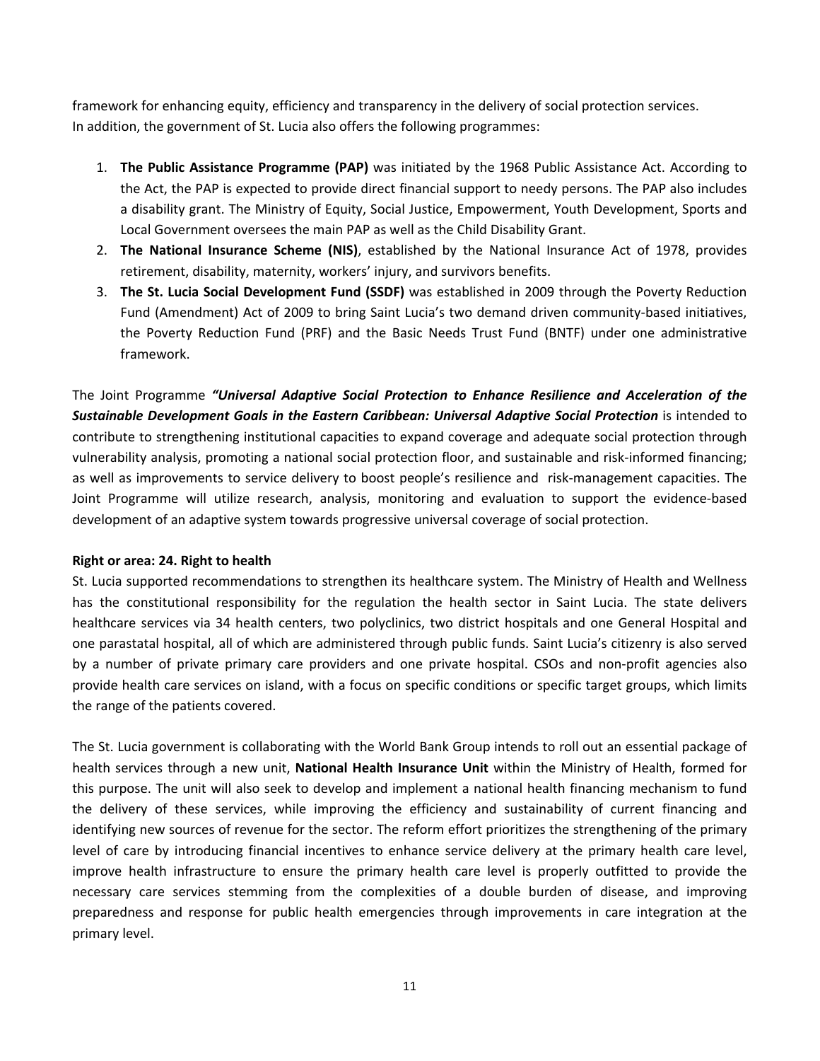framework for enhancing equity, efficiency and transparency in the delivery of social protection services. In addition, the government of St. Lucia also offers the following programmes:

- 1. **The Public Assistance Programme (PAP)** was initiated by the 1968 Public Assistance Act. According to the Act, the PAP is expected to provide direct financial support to needy persons. The PAP also includes <sup>a</sup> disability grant. The Ministry of Equity, Social Justice, Empowerment, Youth Development, Sports and Local Government oversees the main PAP as well as the Child Disability Grant.
- 2. **The National Insurance Scheme (NIS)**, established by the National Insurance Act of 1978, provides retirement, disability, maternity, workers' injury, and survivors benefits.
- 3. **The St. Lucia Social Development Fund (SSDF)** was established in 2009 through the Poverty Reduction Fund (Amendment) Act of 2009 to bring Saint Lucia'<sup>s</sup> two demand driven community-based initiatives, the Poverty Reduction Fund (PRF) and the Basic Needs Trust Fund (BNTF) under one administrative framework.

The Joint Programme *"Universal Adaptive Social Protection to Enhance Resilience and Acceleration of the Sustainable Development Goals in the Eastern Caribbean: Universal Adaptive Social Protection* is intended to contribute to strengthening institutional capacities to expand coverage and adequate social protection through vulnerability analysis, promoting <sup>a</sup> national social protection floor, and sustainable and risk-informed financing; as well as improvements to service delivery to boost people'<sup>s</sup> resilience and risk-management capacities. The Joint Programme will utilize research, analysis, monitoring and evaluation to support the evidence-based development of an adaptive system towards progressive universal coverage of social protection.

### **Right or area: 24. Right to health**

St. Lucia supported recommendations to strengthen its healthcare system. The Ministry of Health and Wellness has the constitutional responsibility for the regulation the health sector in Saint Lucia. The state delivers healthcare services via 34 health centers, two polyclinics, two district hospitals and one General Hospital and one parastatal hospital, all of which are administered through public funds. Saint Lucia'<sup>s</sup> citizenry is also served by <sup>a</sup> number of private primary care providers and one private hospital. CSOs and non-profit agencies also provide health care services on island, with <sup>a</sup> focus on specific conditions or specific target groups, which limits the range of the patients covered.

The St. Lucia government is collaborating with the World Bank Group intends to roll out an essential package of health services through <sup>a</sup> new unit, **National Health Insurance Unit** within the Ministry of Health, formed for this purpose. The unit will also seek to develop and implement <sup>a</sup> national health financing mechanism to fund the delivery of these services, while improving the efficiency and sustainability of current financing and identifying new sources of revenue for the sector. The reform effort prioritizes the strengthening of the primary level of care by introducing financial incentives to enhance service delivery at the primary health care level, improve health infrastructure to ensure the primary health care level is properly outfitted to provide the necessary care services stemming from the complexities of <sup>a</sup> double burden of disease, and improving preparedness and response for public health emergencies through improvements in care integration at the primary level.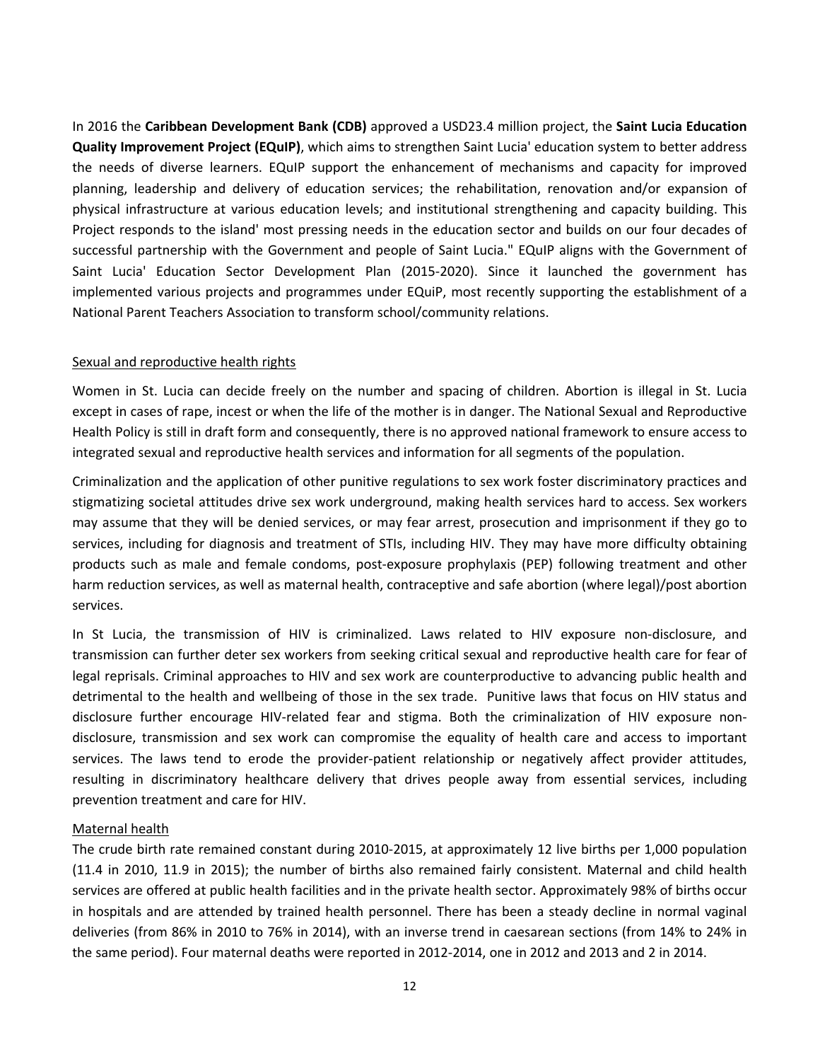In 2016 the **Caribbean Development Bank (CDB)** approved <sup>a</sup> USD23.4 million project, the **Saint Lucia Education Quality Improvement Project (EQuIP)**, which aims to strengthen Saint Lucia' education system to better address the needs of diverse learners. EQuIP support the enhancement of mechanisms and capacity for improved planning, leadership and delivery of education services; the rehabilitation, renovation and/or expansion of physical infrastructure at various education levels; and institutional strengthening and capacity building. This Project responds to the island' most pressing needs in the education sector and builds on our four decades of successful partnership with the Government and people of Saint Lucia." EQuIP aligns with the Government of Saint Lucia' Education Sector Development Plan (2015-2020). Since it launched the government has implemented various projects and programmes under EQuiP, most recently supporting the establishment of <sup>a</sup> National Parent Teachers Association to transform school/community relations.

#### Sexual and reproductive health rights

Women in St. Lucia can decide freely on the number and spacing of children. Abortion is illegal in St. Lucia except in cases of rape, incest or when the life of the mother is in danger. The National Sexual and Reproductive Health Policy is still in draft form and consequently, there is no approved national framework to ensure access to integrated sexual and reproductive health services and information for all segments of the population.

Criminalization and the application of other punitive regulations to sex work foster discriminatory practices and stigmatizing societal attitudes drive sex work underground, making health services hard to access. Sex workers may assume that they will be denied services, or may fear arrest, prosecution and imprisonment if they go to services, including for diagnosis and treatment of STIs, including HIV. They may have more difficulty obtaining products such as male and female condoms, post-exposure prophylaxis (PEP) following treatment and other harm reduction services, as well as maternal health, contraceptive and safe abortion (where legal)/post abortion services.

In St Lucia, the transmission of HIV is criminalized. Laws related to HIV exposure non-disclosure, and transmission can further deter sex workers from seeking critical sexual and reproductive health care for fear of legal reprisals. Criminal approaches to HIV and sex work are counterproductive to advancing public health and detrimental to the health and wellbeing of those in the sex trade. Punitive laws that focus on HIV status and disclosure further encourage HIV-related fear and stigma. Both the criminalization of HIV exposure nondisclosure, transmission and sex work can compromise the equality of health care and access to important services. The laws tend to erode the provider-patient relationship or negatively affect provider attitudes, resulting in discriminatory healthcare delivery that drives people away from essential services, including prevention treatment and care for HIV.

#### Maternal health

The crude birth rate remained constant during 2010-2015, at approximately 12 live births per 1,000 population (11.4 in 2010, 11.9 in 2015); the number of births also remained fairly consistent. Maternal and child health services are offered at public health facilities and in the private health sector. Approximately 98% of births occur in hospitals and are attended by trained health personnel. There has been <sup>a</sup> steady decline in normal vaginal deliveries (from 86% in 2010 to 76% in 2014), with an inverse trend in caesarean sections (from 14% to 24% in the same period). Four maternal deaths were reported in 2012-2014, one in 2012 and 2013 and 2 in 2014.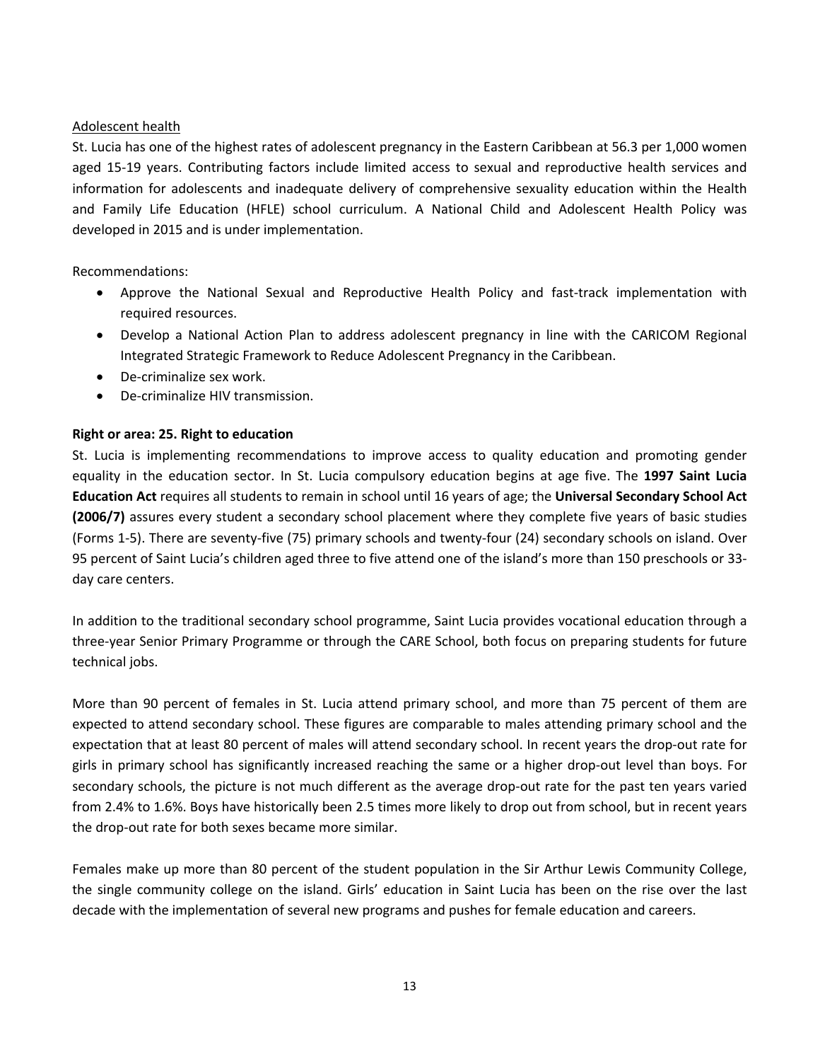#### Adolescent health

St. Lucia has one of the highest rates of adolescent pregnancy in the Eastern Caribbean at 56.3 per 1,000 women aged 15-19 years. Contributing factors include limited access to sexual and reproductive health services and information for adolescents and inadequate delivery of comprehensive sexuality education within the Health and Family Life Education (HFLE) school curriculum. A National Child and Adolescent Health Policy was developed in 2015 and is under implementation.

Recommendations:

- Approve the National Sexual and Reproductive Health Policy and fast-track implementation with required resources.
- Develop <sup>a</sup> National Action Plan to address adolescent pregnancy in line with the CARICOM Regional Integrated Strategic Framework to Reduce Adolescent Pregnancy in the Caribbean.
- De-criminalize sex work.
- c De-criminalize HIV transmission.

### **Right or area: 25. Right to education**

St. Lucia is implementing recommendations to improve access to quality education and promoting gender equality in the education sector. In St. Lucia compulsory education begins at age five. The **1997 Saint Lucia Education Act** requires all students to remain in school until 16 years of age; the **Universal Secondary School Act (2006/7)** assures every student <sup>a</sup> secondary school placement where they complete five years of basic studies (Forms 1-5). There are seventy-five (75) primary schools and twenty-four (24) secondary schools on island. Over 95 percent of Saint Lucia'<sup>s</sup> children aged three to five attend one of the island'<sup>s</sup> more than 150 preschools or 33 day care centers.

In addition to the traditional secondary school programme, Saint Lucia provides vocational education through <sup>a</sup> three-year Senior Primary Programme or through the CARE School, both focus on preparing students for future technical jobs.

More than 90 percent of females in St. Lucia attend primary school, and more than 75 percent of them are expected to attend secondary school. These figures are comparable to males attending primary school and the expectation that at least 80 percent of males will attend secondary school. In recent years the drop-out rate for girls in primary school has significantly increased reaching the same or <sup>a</sup> higher drop-out level than boys. For secondary schools, the picture is not much different as the average drop-out rate for the past ten years varied from 2.4% to 1.6%. Boys have historically been 2.5 times more likely to drop out from school, but in recent years the drop-out rate for both sexes became more similar.

Females make up more than 80 percent of the student population in the Sir Arthur Lewis Community College, the single community college on the island. Girls' education in Saint Lucia has been on the rise over the last decade with the implementation of several new programs and pushes for female education and careers.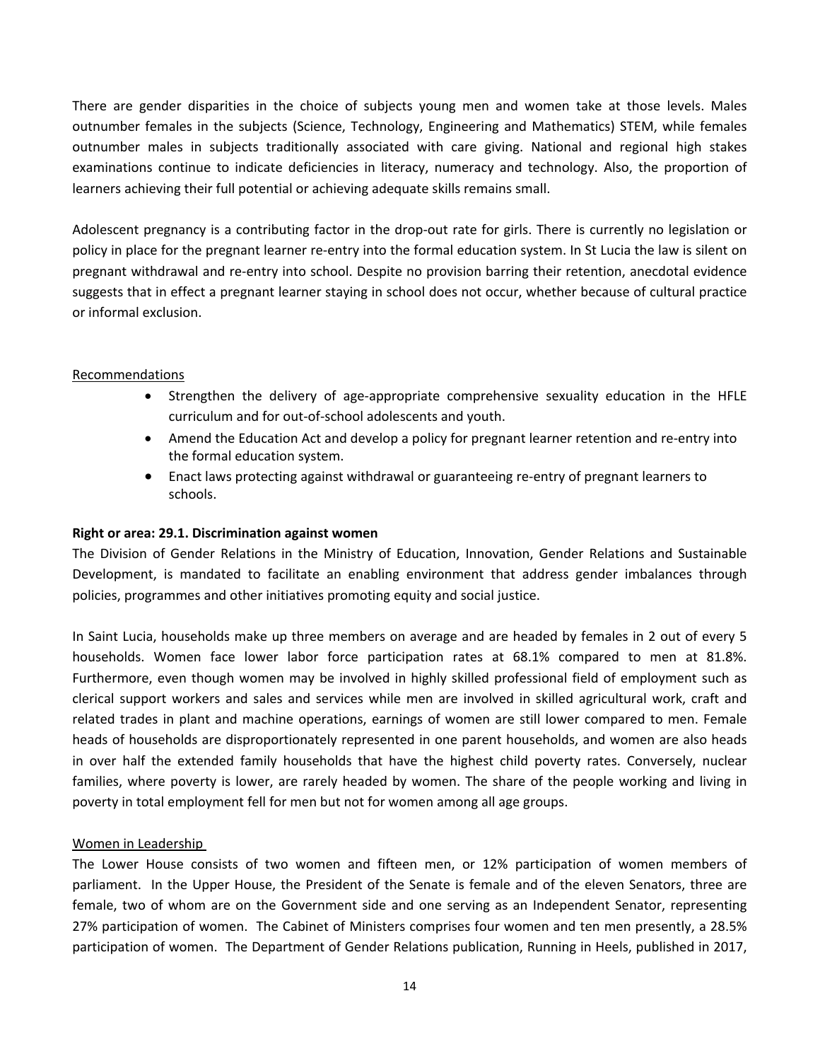There are gender disparities in the choice of subjects young men and women take at those levels. Males outnumber females in the subjects (Science, Technology, Engineering and Mathematics) STEM, while females outnumber males in subjects traditionally associated with care giving. National and regional high stakes examinations continue to indicate deficiencies in literacy, numeracy and technology. Also, the proportion of learners achieving their full potential or achieving adequate skills remains small.

Adolescent pregnancy is <sup>a</sup> contributing factor in the drop-out rate for girls. There is currently no legislation or policy in place for the pregnant learner re-entry into the formal education system. In St Lucia the law is silent on pregnant withdrawal and re-entry into school. Despite no provision barring their retention, anecdotal evidence suggests that in effect <sup>a</sup> pregnant learner staying in school does not occur, whether because of cultural practice or informal exclusion.

### Recommendations

- Strengthen the delivery of age-appropriate comprehensive sexuality education in the HFLE curriculum and for out-of-school adolescents and youth.
- Amend the Education Act and develop <sup>a</sup> policy for pregnant learner retention and re-entry into the formal education system.
- Enact laws protecting against withdrawal or guaranteeing re-entry of pregnant learners to schools.

### **Right or area: 29.1. Discrimination against women**

The Division of Gender Relations in the Ministry of Education, Innovation, Gender Relations and Sustainable Development, is mandated to facilitate an enabling environment that address gender imbalances through policies, programmes and other initiatives promoting equity and social justice.

In Saint Lucia, households make up three members on average and are headed by females in 2 out of every 5 households. Women face lower labor force participation rates at 68.1% compared to men at 81.8%. Furthermore, even though women may be involved in highly skilled professional field of employment such as clerical support workers and sales and services while men are involved in skilled agricultural work, craft and related trades in plant and machine operations, earnings of women are still lower compared to men. Female heads of households are disproportionately represented in one parent households, and women are also heads in over half the extended family households that have the highest child poverty rates. Conversely, nuclear families, where poverty is lower, are rarely headed by women. The share of the people working and living in poverty in total employment fell for men but not for women among all age groups.

### Women in Leadership

The Lower House consists of two women and fifteen men, or 12% participation of women members of parliament. In the Upper House, the President of the Senate is female and of the eleven Senators, three are female, two of whom are on the Government side and one serving as an Independent Senator, representing 27% participation of women. The Cabinet of Ministers comprises four women and ten men presently, <sup>a</sup> 28.5% participation of women. The Department of Gender Relations publication, Running in Heels, published in 2017,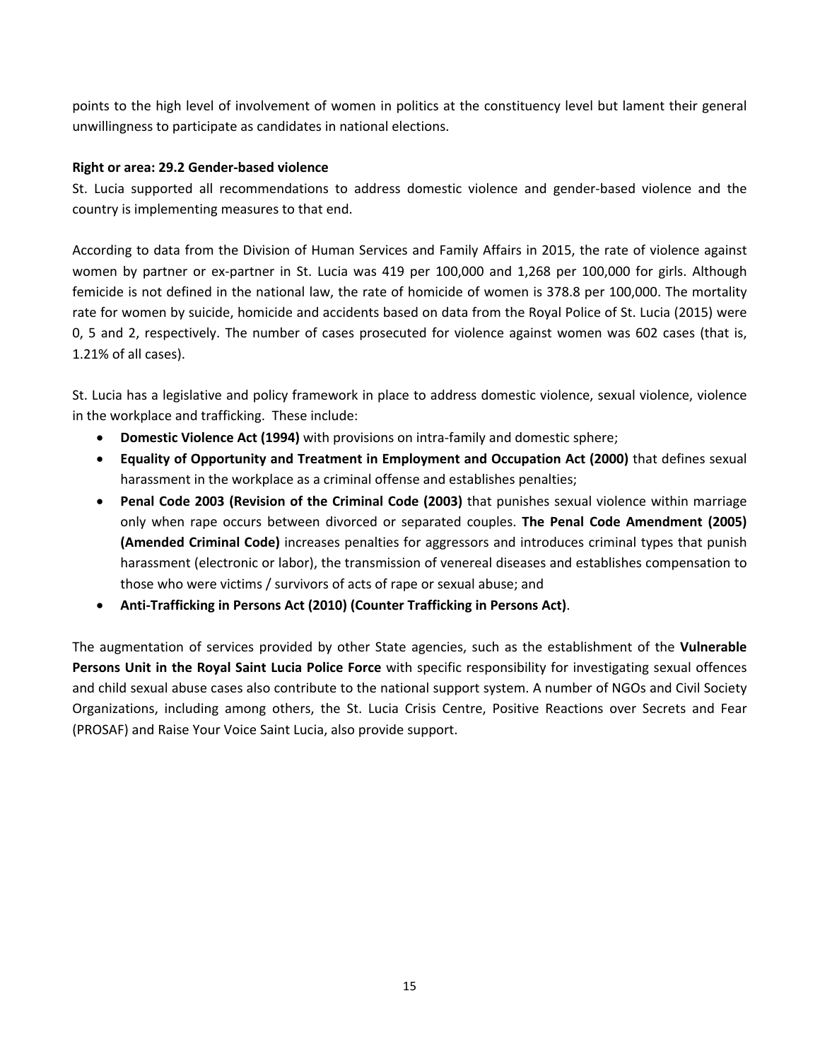points to the high level of involvement of women in politics at the constituency level but lament their general unwillingness to participate as candidates in national elections.

## **Right or area: 29.2 Gender-based violence**

St. Lucia supported all recommendations to address domestic violence and gender-based violence and the country is implementing measures to that end.

According to data from the Division of Human Services and Family Affairs in 2015, the rate of violence against women by partner or ex-partner in St. Lucia was 419 per 100,000 and 1,268 per 100,000 for girls. Although femicide is not defined in the national law, the rate of homicide of women is 378.8 per 100,000. The mortality rate for women by suicide, homicide and accidents based on data from the Royal Police of St. Lucia (2015) were 0, 5 and 2, respectively. The number of cases prosecuted for violence against women was 602 cases (that is, 1.21% of all cases).

St. Lucia has <sup>a</sup> legislative and policy framework in place to address domestic violence, sexual violence, violence in the workplace and trafficking. These include:

- **Domestic Violence Act (1994)** with provisions on intra-family and domestic sphere;
- **Equality of Opportunity and Treatment in Employment and Occupation Act (2000)** that defines sexual harassment in the workplace as <sup>a</sup> criminal offense and establishes penalties;
- **Penal Code 2003 (Revision of the Criminal Code (2003)** that punishes sexual violence within marriage only when rape occurs between divorced or separated couples. **The Penal Code Amendment (2005) (Amended Criminal Code)** increases penalties for aggressors and introduces criminal types that punish harassment (electronic or labor), the transmission of venereal diseases and establishes compensation to those who were victims / survivors of acts of rape or sexual abuse; and
- **Anti-Trafficking in Persons Act (2010) (Counter Trafficking in Persons Act)**.

The augmentation of services provided by other State agencies, such as the establishment of the **Vulnerable Persons Unit in the Royal Saint Lucia Police Force** with specific responsibility for investigating sexual offences and child sexual abuse cases also contribute to the national support system. A number of NGOs and Civil Society Organizations, including among others, the St. Lucia Crisis Centre, Positive Reactions over Secrets and Fear (PROSAF) and Raise Your Voice Saint Lucia, also provide support.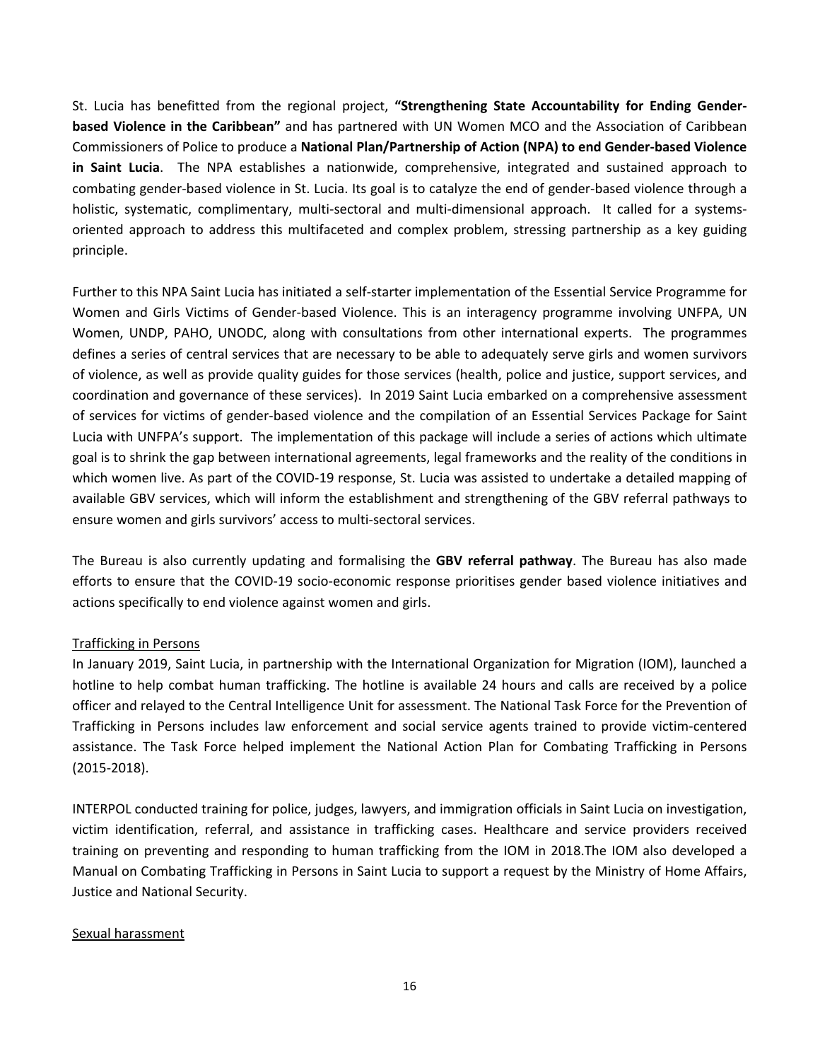St. Lucia has benefitted from the regional project, **"Strengthening State Accountability for Ending Genderbased Violence in the Caribbean"** and has partnered with UN Women MCO and the Association of Caribbean Commissioners of Police to produce <sup>a</sup> **National Plan/Partnership of Action (NPA) to end Gender-based Violence in Saint Lucia**. The NPA establishes <sup>a</sup> nationwide, comprehensive, integrated and sustained approach to combating gender-based violence in St. Lucia. Its goal is to catalyze the end of gender-based violence through <sup>a</sup> holistic, systematic, complimentary, multi-sectoral and multi-dimensional approach. It called for <sup>a</sup> systemsoriented approach to address this multifaceted and complex problem, stressing partnership as <sup>a</sup> key guiding principle.

Further to this NPA Saint Lucia has initiated <sup>a</sup> self-starter implementation of the Essential Service Programme for Women and Girls Victims of Gender-based Violence. This is an interagency programme involving UNFPA, UN Women, UNDP, PAHO, UNODC, along with consultations from other international experts. The programmes defines <sup>a</sup> series of central services that are necessary to be able to adequately serve girls and women survivors of violence, as well as provide quality guides for those services (health, police and justice, support services, and coordination and governance of these services). In 2019 Saint Lucia embarked on <sup>a</sup> comprehensive assessment of services for victims of gender-based violence and the compilation of an Essential Services Package for Saint Lucia with UNFPA'<sup>s</sup> support. The implementation of this package will include <sup>a</sup> series of actions which ultimate goal is to shrink the gap between international agreements, legal frameworks and the reality of the conditions in which women live. As part of the COVID-19 response, St. Lucia was assisted to undertake <sup>a</sup> detailed mapping of available GBV services, which will inform the establishment and strengthening of the GBV referral pathways to ensure women and girls survivors' access to multi-sectoral services.

The Bureau is also currently updating and formalising the **GBV referral pathway**. The Bureau has also made efforts to ensure that the COVID-19 socio-economic response prioritises gender based violence initiatives and actions specifically to end violence against women and girls.

### Trafficking in Persons

In January 2019, Saint Lucia, in partnership with the International Organization for Migration (IOM), launched <sup>a</sup> hotline to help combat human trafficking. The hotline is available 24 hours and calls are received by <sup>a</sup> police officer and relayed to the Central Intelligence Unit for assessment. The National Task Force for the Prevention of Trafficking in Persons includes law enforcement and social service agents trained to provide victim-centered assistance. The Task Force helped implement the National Action Plan for Combating Trafficking in Persons (2015-2018).

INTERPOL conducted training for police, judges, lawyers, and immigration officials in Saint Lucia on investigation, victim identification, referral, and assistance in trafficking cases. Healthcare and service providers received training on preventing and responding to human trafficking from the IOM in 2018.The IOM also developed <sup>a</sup> Manual on Combating Trafficking in Persons in Saint Lucia to support <sup>a</sup> request by the Ministry of Home Affairs, Justice and National Security.

#### Sexual harassment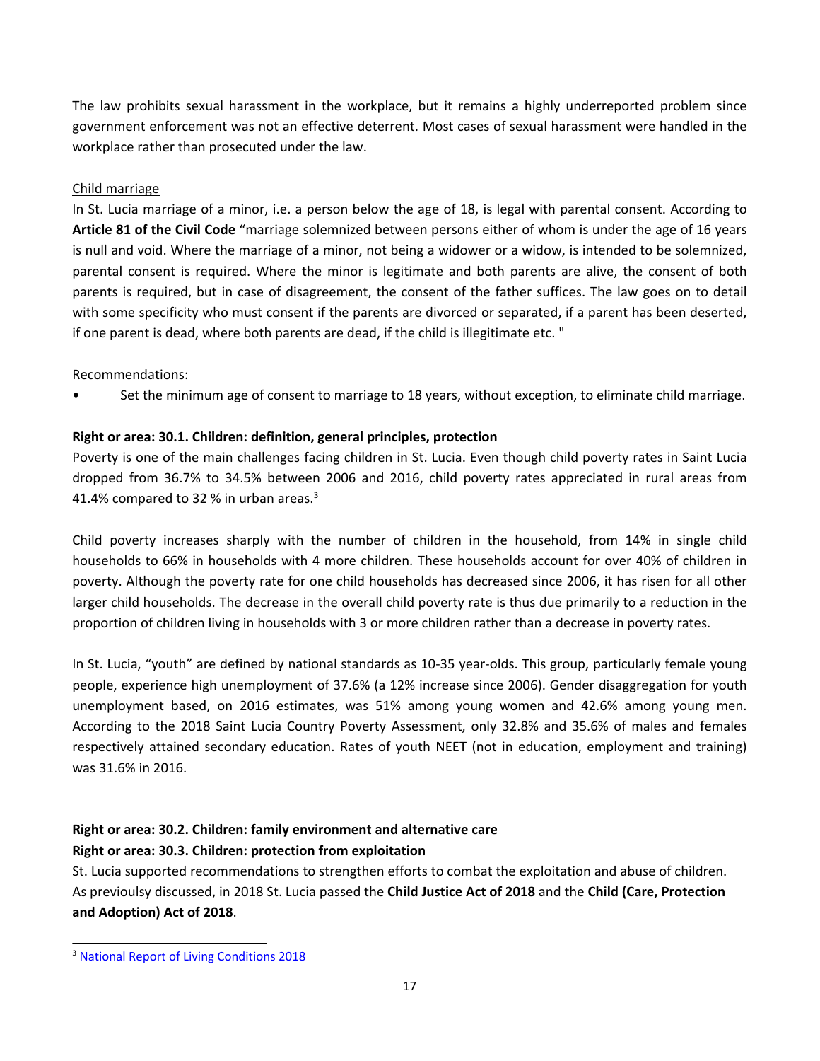The law prohibits sexual harassment in the workplace, but it remains <sup>a</sup> highly underreported problem since government enforcement was not an effective deterrent. Most cases of sexual harassment were handled in the workplace rather than prosecuted under the law.

### Child marriage

In St. Lucia marriage of <sup>a</sup> minor, i.e. <sup>a</sup> person below the age of 18, is legal with parental consent. According to **Article 81 of the Civil Code** "marriage solemnized between persons either of whom is under the age of 16 years is null and void. Where the marriage of <sup>a</sup> minor, not being <sup>a</sup> widower or <sup>a</sup> widow, is intended to be solemnized, parental consent is required. Where the minor is legitimate and both parents are alive, the consent of both parents is required, but in case of disagreement, the consent of the father suffices. The law goes on to detail with some specificity who must consent if the parents are divorced or separated, if <sup>a</sup> parent has been deserted, if one parent is dead, where both parents are dead, if the child is illegitimate etc. "

Recommendations:

•Set the minimum age of consent to marriage to 18 years, without exception, to eliminate child marriage.

## **Right or area: 30.1. Children: definition, general principles, protection**

Poverty is one of the main challenges facing children in St. Lucia. Even though child poverty rates in Saint Lucia dropped from 36.7% to 34.5% between 2006 and 2016, child poverty rates appreciated in rural areas from 41.4% compared to 32 % in urban areas.<sup>3</sup>

Child poverty increases sharply with the number of children in the household, from 14% in single child households to 66% in households with 4 more children. These households account for over 40% of children in poverty. Although the poverty rate for one child households has decreased since 2006, it has risen for all other larger child households. The decrease in the overall child poverty rate is thus due primarily to <sup>a</sup> reduction in the proportion of children living in households with 3 or more children rather than <sup>a</sup> decrease in poverty rates.

In St. Lucia, "youth" are defined by national standards as 10-35 year-olds. This group, particularly female young people, experience high unemployment of 37.6% (a 12% increase since 2006). Gender disaggregation for youth unemployment based, on 2016 estimates, was 51% among young women and 42.6% among young men. According to the 2018 Saint Lucia Country Poverty Assessment, only 32.8% and 35.6% of males and females respectively attained secondary education. Rates of youth NEET (not in education, employment and training) was 31.6% in 2016.

## **Right or area: 30.2. Children: family environment and alternative care Right or area: 30.3. Children: protection from exploitation**

St. Lucia supported recommendations to strengthen efforts to combat the exploitation and abuse of children. As previoulsy discussed, in 2018 St. Lucia passed the **Child Justice Act of 2018** and the **Child (Care, Protection and Adoption) Act of 2018**.

<sup>&</sup>lt;sup>3</sup> National Report of Living [Conditions](https://www.stats.gov.lc/wp-content/uploads/2019/01/Saint-Lucia-National-Report-of-Living-Conditions-2016-Final_December-2018.pdf) 2018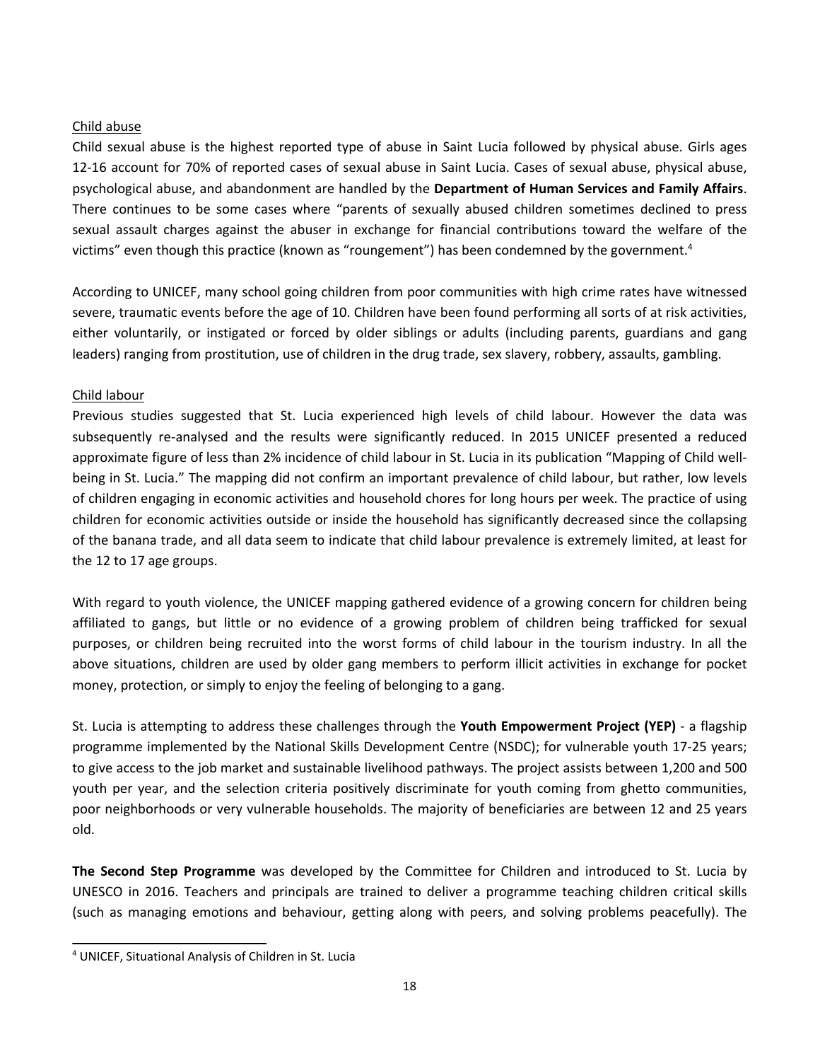### Child abuse

Child sexual abuse is the highest reported type of abuse in Saint Lucia followed by physical abuse. Girls ages 12-16 account for 70% of reported cases of sexual abuse in Saint Lucia. Cases of sexual abuse, physical abuse, psychological abuse, and abandonment are handled by the **Department of Human Services and Family Affairs**. There continues to be some cases where "parents of sexually abused children sometimes declined to press sexual assault charges against the abuser in exchange for financial contributions toward the welfare of the victims" even though this practice (known as "roungement") has been condemned by the government. 4

According to UNICEF, many school going children from poor communities with high crime rates have witnessed severe, traumatic events before the age of 10. Children have been found performing all sorts of at risk activities, either voluntarily, or instigated or forced by older siblings or adults (including parents, guardians and gang leaders) ranging from prostitution, use of children in the drug trade, sex slavery, robbery, assaults, gambling.

### Child labour

Previous studies suggested that St. Lucia experienced high levels of child labour. However the data was subsequently re-analysed and the results were significantly reduced. In 2015 UNICEF presented <sup>a</sup> reduced approximate figure of less than 2% incidence of child labour in St. Lucia in its publication "Mapping of Child wellbeing in St. Lucia." The mapping did not confirm an important prevalence of child labour, but rather, low levels of children engaging in economic activities and household chores for long hours per week. The practice of using children for economic activities outside or inside the household has significantly decreased since the collapsing of the banana trade, and all data seem to indicate that child labour prevalence is extremely limited, at least for the 12 to 17 age groups.

With regard to youth violence, the UNICEF mapping gathered evidence of <sup>a</sup> growing concern for children being affiliated to gangs, but little or no evidence of <sup>a</sup> growing problem of children being trafficked for sexual purposes, or children being recruited into the worst forms of child labour in the tourism industry. In all the above situations, children are used by older gang members to perform illicit activities in exchange for pocket money, protection, or simply to enjoy the feeling of belonging to <sup>a</sup> gang.

St. Lucia is attempting to address these challenges through the **Youth Empowerment Project (YEP)** - <sup>a</sup> flagship programme implemented by the National Skills Development Centre (NSDC); for vulnerable youth 17-25 years; to give access to the job market and sustainable livelihood pathways. The project assists between 1,200 and 500 youth per year, and the selection criteria positively discriminate for youth coming from ghetto communities, poor neighborhoods or very vulnerable households. The majority of beneficiaries are between 12 and 25 years old.

**The Second Step Programme** was developed by the Committee for Children and introduced to St. Lucia by UNESCO in 2016. Teachers and principals are trained to deliver <sup>a</sup> programme teaching children critical skills (such as managing emotions and behaviour, getting along with peers, and solving problems peacefully). The

<sup>4</sup> UNICEF, Situational Analysis of Children in St. Lucia